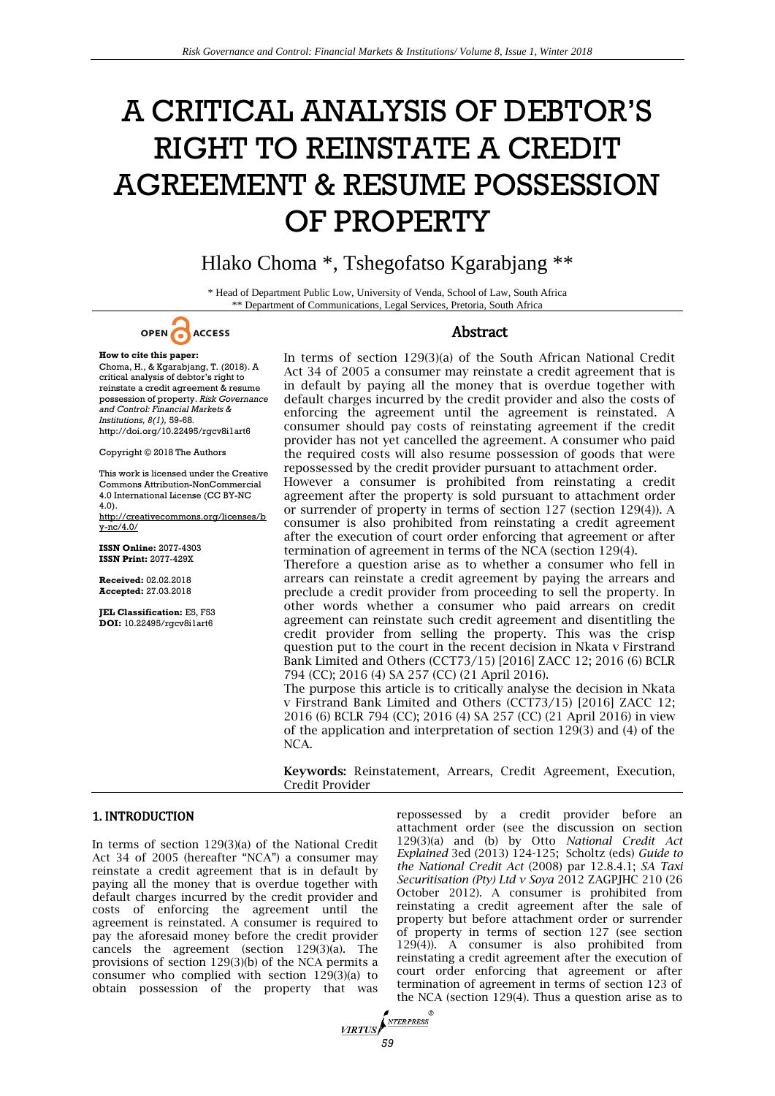# A CRITICAL ANALYSIS OF DEBTOR'S RIGHT TO REINSTATE A CREDIT AGREEMENT & RESUME POSSESSION OF PROPERTY

## Hlako Choma \*, Tshegofatso Kgarabjang \*\*

\* Head of Department Public Low, University of Venda, School of Law, South Africa \*\* Department of Communications, Legal Services, Pretoria, South Africa



### **How to cite this paper:**

Choma, H., & Kgarabjang, T. (2018). A critical analysis of debtor's right to reinstate a credit agreement & resume possession of property. *Risk Governance and Control: Financial Markets & Institutions, 8(1),* 59-68. http://doi.org/10.22495/rgcv8i1art6

Copyright © 2018 The Authors

This work is licensed under the Creative Commons Attribution-NonCommercial 4.0 International License (CC BY-NC 4.0).

http://creativecommons.org/licenses/b y-nc/4.0/

**ISSN Online:** 2077-4303 **ISSN Print:** 2077-429X

**Received:** 02.02.2018 **Accepted:** 27.03.2018

**JEL Classification:** E5, F53 **DOI:** 10.22495/rgcv8i1art6

#### Abstract

In terms of section 129(3)(a) of the South African National Credit Act 34 of 2005 a consumer may reinstate a credit agreement that is in default by paying all the money that is overdue together with default charges incurred by the credit provider and also the costs of enforcing the agreement until the agreement is reinstated. A consumer should pay costs of reinstating agreement if the credit provider has not yet cancelled the agreement. A consumer who paid the required costs will also resume possession of goods that were repossessed by the credit provider pursuant to attachment order.

However a consumer is prohibited from reinstating a credit agreement after the property is sold pursuant to attachment order or surrender of property in terms of section 127 (section 129(4)). A consumer is also prohibited from reinstating a credit agreement after the execution of court order enforcing that agreement or after termination of agreement in terms of the NCA (section 129(4).

Therefore a question arise as to whether a consumer who fell in arrears can reinstate a credit agreement by paying the arrears and preclude a credit provider from proceeding to sell the property. In other words whether a consumer who paid arrears on credit agreement can reinstate such credit agreement and disentitling the credit provider from selling the property. This was the crisp question put to the court in the recent decision in Nkata v Firstrand Bank Limited and Others (CCT73/15) [2016] ZACC 12; 2016 (6) BCLR 794 (CC); 2016 (4) SA 257 (CC) (21 April 2016).

The purpose this article is to critically analyse the decision in Nkata v Firstrand Bank Limited and Others (CCT73/15) [2016] ZACC 12; 2016 (6) BCLR 794 (CC); 2016 (4) SA 257 (CC) (21 April 2016) in view of the application and interpretation of section 129(3) and (4) of the NCA.

**Keywords:** Reinstatement, Arrears, Credit Agreement, Execution, Credit Provider

#### 1. INTRODUCTION

In terms of section 129(3)(a) of the National Credit Act 34 of 2005 (hereafter "NCA") a consumer may reinstate a credit agreement that is in default by paying all the money that is overdue together with default charges incurred by the credit provider and costs of enforcing the agreement until the agreement is reinstated. A consumer is required to pay the aforesaid money before the credit provider cancels the agreement (section 129(3)(a). The provisions of section 129(3)(b) of the NCA permits a consumer who complied with section 129(3)(a) to obtain possession of the property that was

repossessed by a credit provider before an attachment order (see the discussion on section 129(3)(a) and (b) by Otto *National Credit Act Explained* 3ed (2013) 124-125; Scholtz (eds) *Guide to the National Credit Act* (2008) par 12.8.4.1; *SA Taxi Securitisation (Pty) Ltd v Soya* 2012 ZAGPJHC 210 (26 October 2012). A consumer is prohibited from reinstating a credit agreement after the sale of property but before attachment order or surrender of property in terms of section 127 (see section 129(4)). A consumer is also prohibited from reinstating a credit agreement after the execution of court order enforcing that agreement or after termination of agreement in terms of section 123 of the NCA (section 129(4). Thus a question arise as to

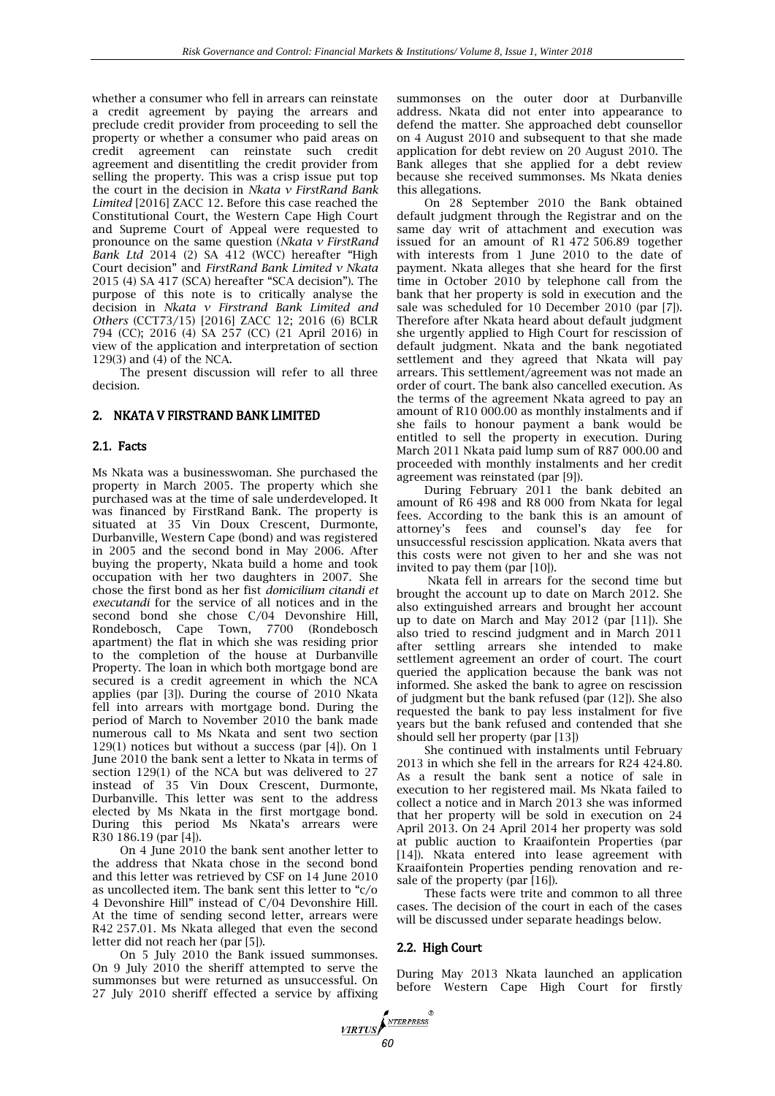whether a consumer who fell in arrears can reinstate a credit agreement by paying the arrears and preclude credit provider from proceeding to sell the property or whether a consumer who paid areas on credit agreement can reinstate such credit agreement and disentitling the credit provider from selling the property. This was a crisp issue put top the court in the decision in *Nkata v FirstRand Bank Limited* [2016] ZACC 12. Before this case reached the Constitutional Court, the Western Cape High Court and Supreme Court of Appeal were requested to pronounce on the same question (*Nkata v FirstRand Bank Ltd* 2014 (2) SA 412 (WCC) hereafter "High Court decision" and *FirstRand Bank Limited v Nkata* 2015 (4) SA 417 (SCA) hereafter "SCA decision"). The purpose of this note is to critically analyse the decision in *Nkata v Firstrand Bank Limited and Others* (CCT73/15) [2016] ZACC 12; 2016 (6) BCLR 794 (CC); 2016 (4) SA 257 (CC) (21 April 2016) in view of the application and interpretation of section 129(3) and (4) of the NCA.

The present discussion will refer to all three decision.

#### 2. NKATA V FIRSTRAND BANK LIMITED

#### 2.1. Facts

Ms Nkata was a businesswoman. She purchased the property in March 2005. The property which she purchased was at the time of sale underdeveloped. It was financed by FirstRand Bank. The property is situated at 35 Vin Doux Crescent, Durmonte, Durbanville, Western Cape (bond) and was registered in 2005 and the second bond in May 2006. After buying the property, Nkata build a home and took occupation with her two daughters in 2007. She chose the first bond as her fist *domicilium citandi et executandi* for the service of all notices and in the second bond she chose C/04 Devonshire Hill, Rondebosch, Cape Town, 7700 (Rondebosch apartment) the flat in which she was residing prior to the completion of the house at Durbanville Property. The loan in which both mortgage bond are secured is a credit agreement in which the NCA applies (par [3]). During the course of 2010 Nkata fell into arrears with mortgage bond. During the period of March to November 2010 the bank made numerous call to Ms Nkata and sent two section  $129(1)$  notices but without a success (par [4]). On 1 June 2010 the bank sent a letter to Nkata in terms of section 129(1) of the NCA but was delivered to 27 instead of 35 Vin Doux Crescent, Durmonte, Durbanville. This letter was sent to the address elected by Ms Nkata in the first mortgage bond. During this period Ms Nkata's arrears were R30 186.19 (par [4]).

On 4 June 2010 the bank sent another letter to the address that Nkata chose in the second bond and this letter was retrieved by CSF on 14 June 2010 as uncollected item. The bank sent this letter to "c/o 4 Devonshire Hill" instead of C/04 Devonshire Hill. At the time of sending second letter, arrears were R42 257.01. Ms Nkata alleged that even the second letter did not reach her (par [5]).

On 5 July 2010 the Bank issued summonses. On 9 July 2010 the sheriff attempted to serve the summonses but were returned as unsuccessful. On 27 July 2010 sheriff effected a service by affixing

summonses on the outer door at Durbanville address. Nkata did not enter into appearance to defend the matter. She approached debt counsellor on 4 August 2010 and subsequent to that she made application for debt review on 20 August 2010. The Bank alleges that she applied for a debt review because she received summonses. Ms Nkata denies this allegations.

On 28 September 2010 the Bank obtained default judgment through the Registrar and on the same day writ of attachment and execution was issued for an amount of R1 472 506.89 together with interests from 1 June 2010 to the date of payment. Nkata alleges that she heard for the first time in October 2010 by telephone call from the bank that her property is sold in execution and the sale was scheduled for 10 December 2010 (par [7]). Therefore after Nkata heard about default judgment she urgently applied to High Court for rescission of default judgment. Nkata and the bank negotiated settlement and they agreed that Nkata will pay arrears. This settlement/agreement was not made an order of court. The bank also cancelled execution. As the terms of the agreement Nkata agreed to pay an amount of R10 000.00 as monthly instalments and if she fails to honour payment a bank would be entitled to sell the property in execution. During March 2011 Nkata paid lump sum of R87 000.00 and proceeded with monthly instalments and her credit agreement was reinstated (par [9]).

During February 2011 the bank debited an amount of R6 498 and R8 000 from Nkata for legal fees. According to the bank this is an amount of attorney's fees and counsel's day fee for unsuccessful rescission application. Nkata avers that this costs were not given to her and she was not invited to pay them (par [10]).

Nkata fell in arrears for the second time but brought the account up to date on March 2012. She also extinguished arrears and brought her account up to date on March and May 2012 (par [11]). She also tried to rescind judgment and in March 2011 after settling arrears she intended to make settlement agreement an order of court. The court queried the application because the bank was not informed. She asked the bank to agree on rescission of judgment but the bank refused (par (12]). She also requested the bank to pay less instalment for five years but the bank refused and contended that she should sell her property (par [13])

She continued with instalments until February 2013 in which she fell in the arrears for R24 424.80. As a result the bank sent a notice of sale in execution to her registered mail. Ms Nkata failed to collect a notice and in March 2013 she was informed that her property will be sold in execution on 24 April 2013. On 24 April 2014 her property was sold at public auction to Kraaifontein Properties (par [14]). Nkata entered into lease agreement with Kraaifontein Properties pending renovation and resale of the property (par [16]).

These facts were trite and common to all three cases. The decision of the court in each of the cases will be discussed under separate headings below.

#### 2.2. High Court

**VIRTUS** 

During May 2013 Nkata launched an application before Western Cape High Court for firstly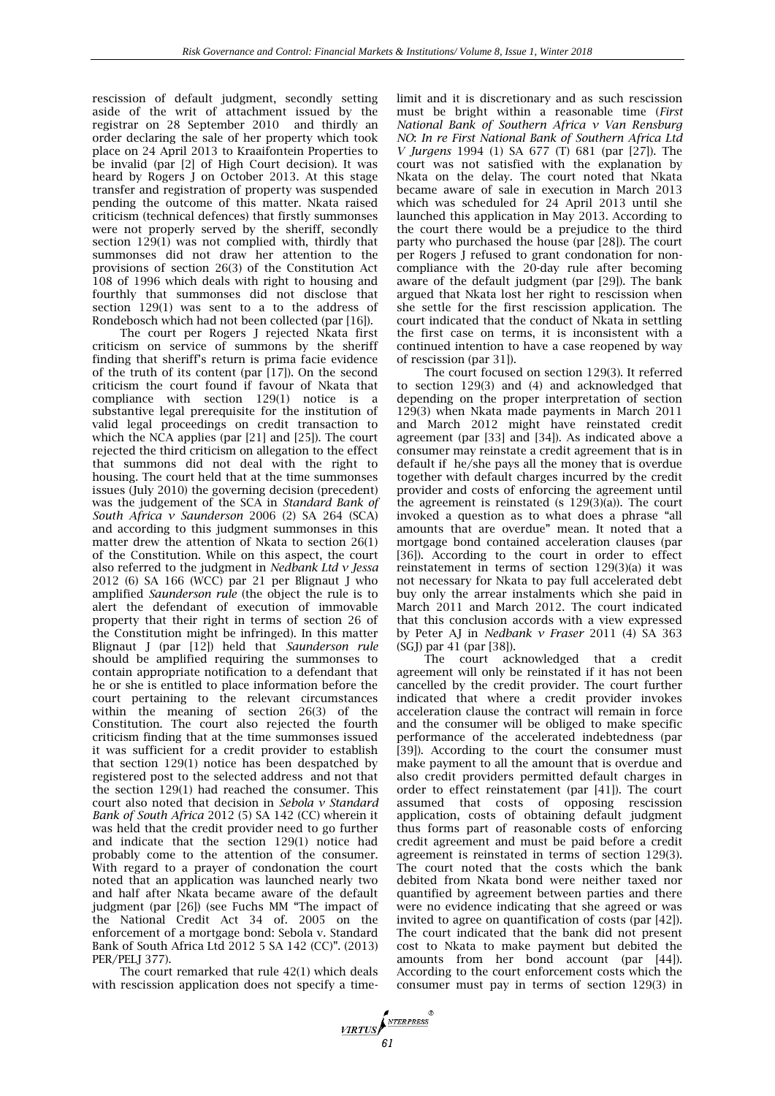rescission of default judgment, secondly setting aside of the writ of attachment issued by the registrar on 28 September 2010 and thirdly an order declaring the sale of her property which took place on 24 April 2013 to Kraaifontein Properties to be invalid (par [2] of High Court decision). It was heard by Rogers J on October 2013. At this stage transfer and registration of property was suspended pending the outcome of this matter. Nkata raised criticism (technical defences) that firstly summonses were not properly served by the sheriff, secondly section 129(1) was not complied with, thirdly that summonses did not draw her attention to the provisions of section 26(3) of the Constitution Act 108 of 1996 which deals with right to housing and fourthly that summonses did not disclose that section 129(1) was sent to a to the address of Rondebosch which had not been collected (par [16]).

The court per Rogers J rejected Nkata first criticism on service of summons by the sheriff finding that sheriff's return is prima facie evidence of the truth of its content (par [17]). On the second criticism the court found if favour of Nkata that compliance with section 129(1) notice is a substantive legal prerequisite for the institution of valid legal proceedings on credit transaction to which the NCA applies (par [21] and [25]). The court rejected the third criticism on allegation to the effect that summons did not deal with the right to housing. The court held that at the time summonses issues (July 2010) the governing decision (precedent) was the judgement of the SCA in *Standard Bank of South Africa v Saunderson* 2006 (2) SA 264 (SCA) and according to this judgment summonses in this matter drew the attention of Nkata to section 26(1) of the Constitution. While on this aspect, the court also referred to the judgment in *Nedbank Ltd v Jessa* 2012 (6) SA 166 (WCC) par 21 per Blignaut J who amplified *Saunderson rule* (the object the rule is to alert the defendant of execution of immovable property that their right in terms of section 26 of the Constitution might be infringed). In this matter Blignaut J (par [12]) held that *Saunderson rule* should be amplified requiring the summonses to contain appropriate notification to a defendant that he or she is entitled to place information before the court pertaining to the relevant circumstances within the meaning of section 26(3) of the Constitution. The court also rejected the fourth criticism finding that at the time summonses issued it was sufficient for a credit provider to establish that section 129(1) notice has been despatched by registered post to the selected address and not that the section 129(1) had reached the consumer. This court also noted that decision in *Sebola v Standard Bank of South Africa* 2012 (5) SA 142 (CC) wherein it was held that the credit provider need to go further and indicate that the section 129(1) notice had probably come to the attention of the consumer. With regard to a prayer of condonation the court noted that an application was launched nearly two and half after Nkata became aware of the default judgment (par [26]) (see Fuchs MM "The impact of the National Credit Act 34 of. 2005 on the enforcement of a mortgage bond: Sebola v. Standard Bank of South Africa Ltd 2012 5 SA 142 (CC)". (2013) PER/PELJ 377).

The court remarked that rule 42(1) which deals with rescission application does not specify a time-

**VIRTUS** 

limit and it is discretionary and as such rescission must be bright within a reasonable time (*First National Bank of Southern Africa v Van Rensburg NO*: *In re First National Bank of Southern Africa Ltd V Jurgens* 1994 (1) SA 677 (T) 681 (par [27]). The court was not satisfied with the explanation by Nkata on the delay. The court noted that Nkata became aware of sale in execution in March 2013 which was scheduled for 24 April 2013 until she launched this application in May 2013. According to the court there would be a prejudice to the third party who purchased the house (par [28]). The court per Rogers J refused to grant condonation for noncompliance with the 20-day rule after becoming aware of the default judgment (par [29]). The bank argued that Nkata lost her right to rescission when she settle for the first rescission application. The court indicated that the conduct of Nkata in settling the first case on terms, it is inconsistent with a continued intention to have a case reopened by way of rescission (par 31]).

The court focused on section 129(3). It referred to section 129(3) and (4) and acknowledged that depending on the proper interpretation of section 129(3) when Nkata made payments in March 2011 and March 2012 might have reinstated credit agreement (par [33] and [34]). As indicated above a consumer may reinstate a credit agreement that is in default if he/she pays all the money that is overdue together with default charges incurred by the credit provider and costs of enforcing the agreement until the agreement is reinstated (s  $129(3)(a)$ ). The court invoked a question as to what does a phrase "all amounts that are overdue" mean. It noted that a mortgage bond contained acceleration clauses (par [36]). According to the court in order to effect reinstatement in terms of section 129(3)(a) it was not necessary for Nkata to pay full accelerated debt buy only the arrear instalments which she paid in March 2011 and March 2012. The court indicated that this conclusion accords with a view expressed by Peter AJ in *Nedbank v Fraser* 2011 (4) SA 363 (SGJ) par 41 (par [38]).

The court acknowledged that a credit agreement will only be reinstated if it has not been cancelled by the credit provider. The court further indicated that where a credit provider invokes acceleration clause the contract will remain in force and the consumer will be obliged to make specific performance of the accelerated indebtedness (par [39]). According to the court the consumer must make payment to all the amount that is overdue and also credit providers permitted default charges in order to effect reinstatement (par [41]). The court assumed that costs of opposing rescission application, costs of obtaining default judgment thus forms part of reasonable costs of enforcing credit agreement and must be paid before a credit agreement is reinstated in terms of section 129(3). The court noted that the costs which the bank debited from Nkata bond were neither taxed nor quantified by agreement between parties and there were no evidence indicating that she agreed or was invited to agree on quantification of costs (par [42]). The court indicated that the bank did not present cost to Nkata to make payment but debited the amounts from her bond account (par [44]). According to the court enforcement costs which the consumer must pay in terms of section 129(3) in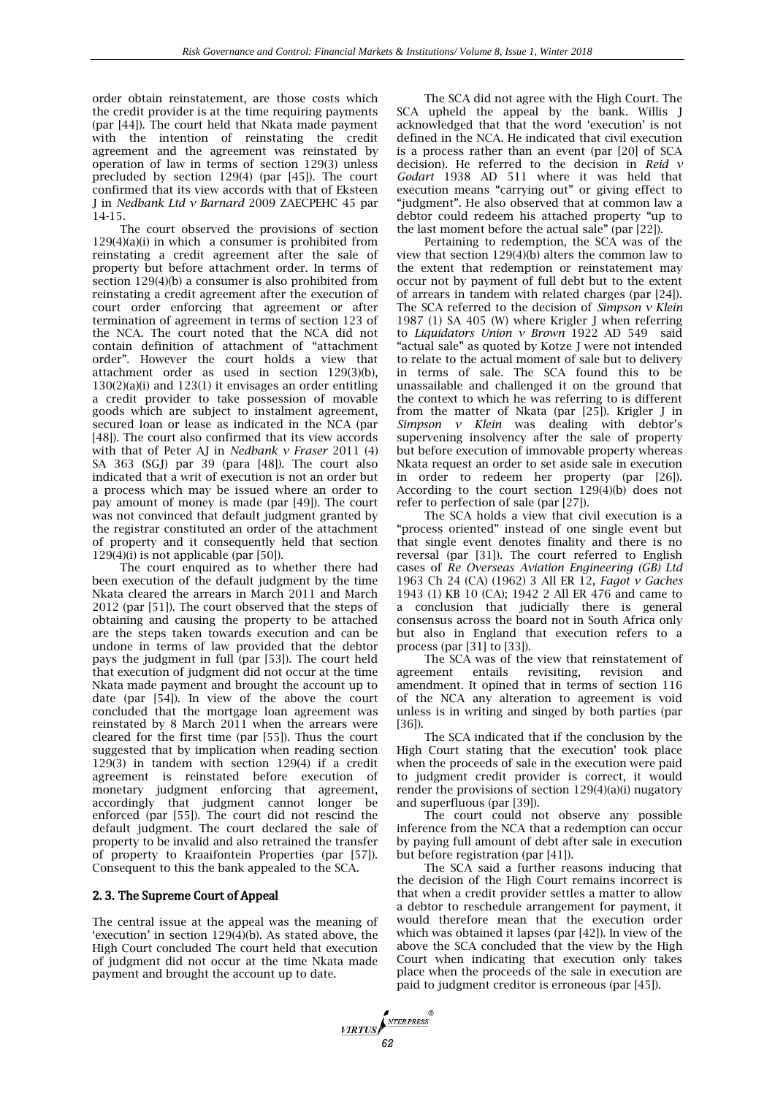order obtain reinstatement, are those costs which the credit provider is at the time requiring payments (par [44]). The court held that Nkata made payment with the intention of reinstating the credit agreement and the agreement was reinstated by operation of law in terms of section 129(3) unless precluded by section 129(4) (par [45]). The court confirmed that its view accords with that of Eksteen J in *Nedbank Ltd v Barnard* 2009 ZAECPEHC 45 par 14-15.

The court observed the provisions of section 129(4)(a)(i) in which a consumer is prohibited from reinstating a credit agreement after the sale of property but before attachment order. In terms of section 129(4)(b) a consumer is also prohibited from reinstating a credit agreement after the execution of court order enforcing that agreement or after termination of agreement in terms of section 123 of the NCA. The court noted that the NCA did not contain definition of attachment of "attachment order". However the court holds a view that attachment order as used in section 129(3)(b), 130(2)(a)(i) and 123(1) it envisages an order entitling a credit provider to take possession of movable goods which are subject to instalment agreement, secured loan or lease as indicated in the NCA (par [48]). The court also confirmed that its view accords with that of Peter AJ in *Nedbank v Fraser* 2011 (4) SA 363 (SGJ) par 39 (para [48]). The court also indicated that a writ of execution is not an order but a process which may be issued where an order to pay amount of money is made (par [49]). The court was not convinced that default judgment granted by the registrar constituted an order of the attachment of property and it consequently held that section  $129(4)(i)$  is not applicable (par [50]).

The court enquired as to whether there had been execution of the default judgment by the time Nkata cleared the arrears in March 2011 and March 2012 (par [51]). The court observed that the steps of obtaining and causing the property to be attached are the steps taken towards execution and can be undone in terms of law provided that the debtor pays the judgment in full (par [53]). The court held that execution of judgment did not occur at the time Nkata made payment and brought the account up to date (par [54]). In view of the above the court concluded that the mortgage loan agreement was reinstated by 8 March 2011 when the arrears were cleared for the first time (par [55]). Thus the court suggested that by implication when reading section 129(3) in tandem with section 129(4) if a credit agreement is reinstated before execution of monetary judgment enforcing that agreement, accordingly that judgment cannot longer be enforced (par [55]). The court did not rescind the default judgment. The court declared the sale of property to be invalid and also retrained the transfer of property to Kraaifontein Properties (par [57]). Consequent to this the bank appealed to the SCA.

#### 2. 3. The Supreme Court of Appeal

The central issue at the appeal was the meaning of 'execution' in section  $129(4)(b)$ . As stated above, the High Court concluded The court held that execution of judgment did not occur at the time Nkata made payment and brought the account up to date.

**VIRTUS** 

The SCA did not agree with the High Court. The SCA upheld the appeal by the bank. Willis J acknowledged that that the word 'execution' is not defined in the NCA. He indicated that civil execution is a process rather than an event (par [20] of SCA decision). He referred to the decision in *Reid v Godart* 1938 AD 511 where it was held that execution means "carrying out" or giving effect to "judgment". He also observed that at common law a debtor could redeem his attached property "up to the last moment before the actual sale" (par [22]).

Pertaining to redemption, the SCA was of the view that section 129(4)(b) alters the common law to the extent that redemption or reinstatement may occur not by payment of full debt but to the extent of arrears in tandem with related charges (par [24]). The SCA referred to the decision of *Simpson v Klein* 1987 (1) SA 405 (W) where Krigler J when referring to *Liquidators Union v Brown* 1922 AD 549 said "actual sale" as quoted by Kotze J were not intended to relate to the actual moment of sale but to delivery in terms of sale. The SCA found this to be unassailable and challenged it on the ground that the context to which he was referring to is different from the matter of Nkata (par [25]). Krigler J in *Simpson v Klein* was dealing with debtor's supervening insolvency after the sale of property but before execution of immovable property whereas Nkata request an order to set aside sale in execution in order to redeem her property (par [26]). According to the court section 129(4)(b) does not refer to perfection of sale (par [27]).

The SCA holds a view that civil execution is a "process oriented" instead of one single event but that single event denotes finality and there is no reversal (par [31]). The court referred to English cases of *Re Overseas Aviation Engineering (GB) Ltd* 1963 Ch 24 (CA) (1962) 3 All ER 12, *Fagot v Gaches* 1943 (1) KB 10 (CA); 1942 2 All ER 476 and came to a conclusion that judicially there is general consensus across the board not in South Africa only but also in England that execution refers to a process (par [31] to [33]).

The SCA was of the view that reinstatement of agreement entails revisiting, revision and amendment. It opined that in terms of section 116 of the NCA any alteration to agreement is void unless is in writing and singed by both parties (par [36]).

The SCA indicated that if the conclusion by the High Court stating that the execution' took place when the proceeds of sale in the execution were paid to judgment credit provider is correct, it would render the provisions of section 129(4)(a)(i) nugatory and superfluous (par [39]).

The court could not observe any possible inference from the NCA that a redemption can occur by paying full amount of debt after sale in execution but before registration (par [41]).

The SCA said a further reasons inducing that the decision of the High Court remains incorrect is that when a credit provider settles a matter to allow a debtor to reschedule arrangement for payment, it would therefore mean that the execution order which was obtained it lapses (par [42]). In view of the above the SCA concluded that the view by the High Court when indicating that execution only takes place when the proceeds of the sale in execution are paid to judgment creditor is erroneous (par [45]).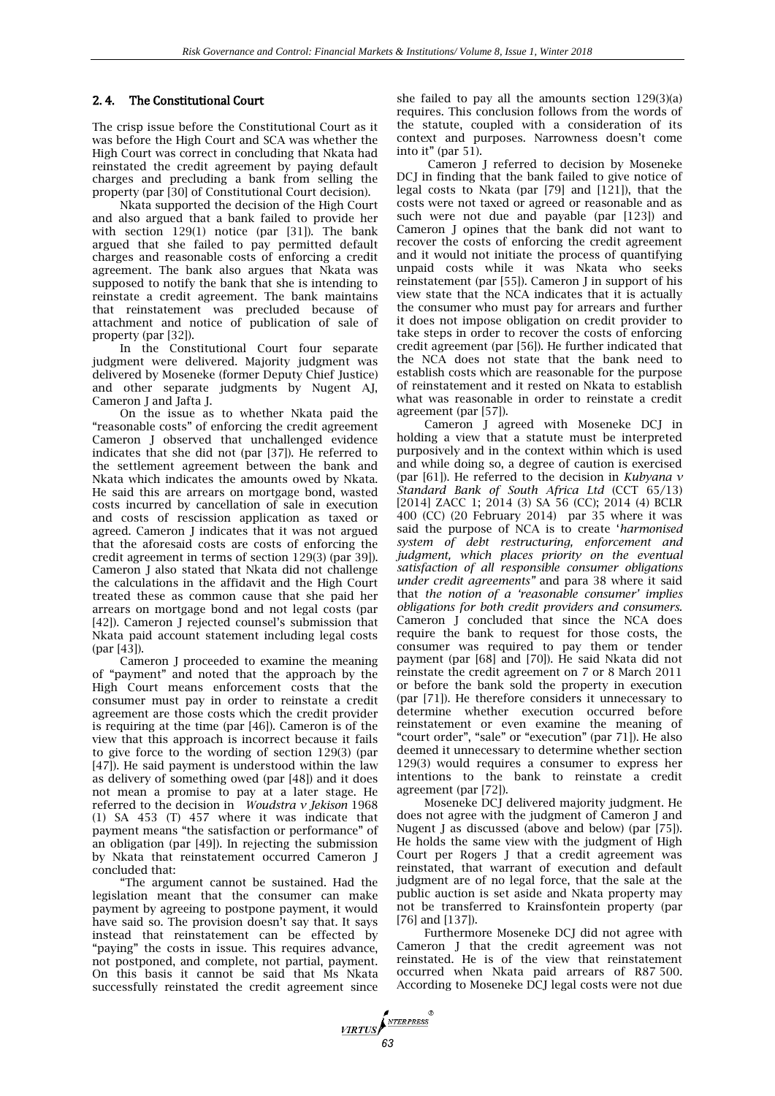#### 2. 4. The Constitutional Court

The crisp issue before the Constitutional Court as it was before the High Court and SCA was whether the High Court was correct in concluding that Nkata had reinstated the credit agreement by paying default charges and precluding a bank from selling the property (par [30] of Constitutional Court decision).

Nkata supported the decision of the High Court and also argued that a bank failed to provide her with section 129(1) notice (par [31]). The bank argued that she failed to pay permitted default charges and reasonable costs of enforcing a credit agreement. The bank also argues that Nkata was supposed to notify the bank that she is intending to reinstate a credit agreement. The bank maintains that reinstatement was precluded because of attachment and notice of publication of sale of property (par [32]).

In the Constitutional Court four separate judgment were delivered. Majority judgment was delivered by Moseneke (former Deputy Chief Justice) and other separate judgments by Nugent AJ, Cameron J and Jafta J.

On the issue as to whether Nkata paid the "reasonable costs" of enforcing the credit agreement Cameron J observed that unchallenged evidence indicates that she did not (par [37]). He referred to the settlement agreement between the bank and Nkata which indicates the amounts owed by Nkata. He said this are arrears on mortgage bond, wasted costs incurred by cancellation of sale in execution and costs of rescission application as taxed or agreed. Cameron J indicates that it was not argued that the aforesaid costs are costs of enforcing the credit agreement in terms of section 129(3) (par 39]). Cameron J also stated that Nkata did not challenge the calculations in the affidavit and the High Court treated these as common cause that she paid her arrears on mortgage bond and not legal costs (par [42]). Cameron J rejected counsel's submission that Nkata paid account statement including legal costs (par [43]).

Cameron J proceeded to examine the meaning of "payment" and noted that the approach by the High Court means enforcement costs that the consumer must pay in order to reinstate a credit agreement are those costs which the credit provider is requiring at the time (par [46]). Cameron is of the view that this approach is incorrect because it fails to give force to the wording of section 129(3) (par [47]). He said payment is understood within the law as delivery of something owed (par [48]) and it does not mean a promise to pay at a later stage. He referred to the decision in *Woudstra v Jekison* 1968 (1) SA 453 (T) 457 where it was indicate that payment means "the satisfaction or performance" of an obligation (par [49]). In rejecting the submission by Nkata that reinstatement occurred Cameron J concluded that:

"The argument cannot be sustained. Had the legislation meant that the consumer can make payment by agreeing to postpone payment, it would have said so. The provision doesn't say that. It says instead that reinstatement can be effected by "paying" the costs in issue. This requires advance, not postponed, and complete, not partial, payment. On this basis it cannot be said that Ms Nkata successfully reinstated the credit agreement since she failed to pay all the amounts section 129(3)(a) requires. This conclusion follows from the words of the statute, coupled with a consideration of its context and purposes. Narrowness doesn't come into it" (par 51).

Cameron J referred to decision by Moseneke DCJ in finding that the bank failed to give notice of legal costs to Nkata (par [79] and [121]), that the costs were not taxed or agreed or reasonable and as such were not due and payable (par [123]) and Cameron J opines that the bank did not want to recover the costs of enforcing the credit agreement and it would not initiate the process of quantifying unpaid costs while it was Nkata who seeks reinstatement (par [55]). Cameron J in support of his view state that the NCA indicates that it is actually the consumer who must pay for arrears and further it does not impose obligation on credit provider to take steps in order to recover the costs of enforcing credit agreement (par [56]). He further indicated that the NCA does not state that the bank need to establish costs which are reasonable for the purpose of reinstatement and it rested on Nkata to establish what was reasonable in order to reinstate a credit agreement (par [57]).

Cameron J agreed with Moseneke DCJ in holding a view that a statute must be interpreted purposively and in the context within which is used and while doing so, a degree of caution is exercised (par [61]). He referred to the decision in *Kubyana v Standard Bank of South Africa Ltd* (CCT 65/13) [2014] ZACC 1; 2014 (3) SA 56 (CC); 2014 (4) BCLR 400 (CC) (20 February 2014) par 35 where it was said the purpose of NCA is to create '*harmonised system of debt restructuring, enforcement and judgment, which places priority on the eventual satisfaction of all responsible consumer obligations under credit agreements"* and para 38 where it said that *the notion of a 'reasonable consumer' implies obligations for both credit providers and consumers.* Cameron J concluded that since the NCA does require the bank to request for those costs, the consumer was required to pay them or tender payment (par [68] and [70]). He said Nkata did not reinstate the credit agreement on 7 or 8 March 2011 or before the bank sold the property in execution (par [71]). He therefore considers it unnecessary to determine whether execution occurred before reinstatement or even examine the meaning of "court order", "sale" or "execution" (par 71]). He also deemed it unnecessary to determine whether section 129(3) would requires a consumer to express her intentions to the bank to reinstate a credit agreement (par [72]).

Moseneke DCJ delivered majority judgment. He does not agree with the judgment of Cameron J and Nugent J as discussed (above and below) (par [75]). He holds the same view with the judgment of High Court per Rogers J that a credit agreement was reinstated, that warrant of execution and default judgment are of no legal force, that the sale at the public auction is set aside and Nkata property may not be transferred to Krainsfontein property (par [76] and [137]).

Furthermore Moseneke DCJ did not agree with Cameron J that the credit agreement was not reinstated. He is of the view that reinstatement occurred when Nkata paid arrears of R87 500. According to Moseneke DCJ legal costs were not due

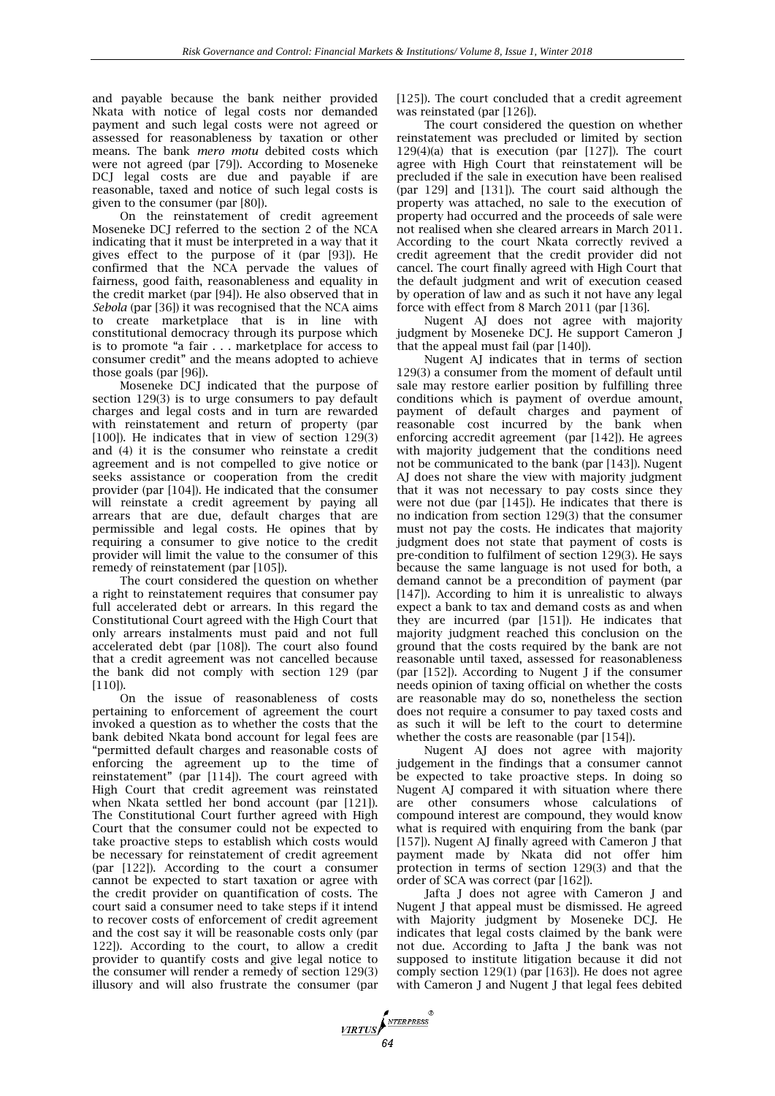and payable because the bank neither provided Nkata with notice of legal costs nor demanded payment and such legal costs were not agreed or assessed for reasonableness by taxation or other means. The bank *mero motu* debited costs which were not agreed (par [79]). According to Moseneke DCJ legal costs are due and payable if are reasonable, taxed and notice of such legal costs is given to the consumer (par [80]).

On the reinstatement of credit agreement Moseneke DCJ referred to the section 2 of the NCA indicating that it must be interpreted in a way that it gives effect to the purpose of it (par [93]). He confirmed that the NCA pervade the values of fairness, good faith, reasonableness and equality in the credit market (par [94]). He also observed that in *Sebola* (par [36]) it was recognised that the NCA aims to create marketplace that is in line with constitutional democracy through its purpose which is to promote "a fair . . . marketplace for access to consumer credit" and the means adopted to achieve those goals (par [96]).

Moseneke DCJ indicated that the purpose of section 129(3) is to urge consumers to pay default charges and legal costs and in turn are rewarded with reinstatement and return of property (par [100]). He indicates that in view of section 129(3) and (4) it is the consumer who reinstate a credit agreement and is not compelled to give notice or seeks assistance or cooperation from the credit provider (par [104]). He indicated that the consumer will reinstate a credit agreement by paying all arrears that are due, default charges that are permissible and legal costs. He opines that by requiring a consumer to give notice to the credit provider will limit the value to the consumer of this remedy of reinstatement (par [105]).

The court considered the question on whether a right to reinstatement requires that consumer pay full accelerated debt or arrears. In this regard the Constitutional Court agreed with the High Court that only arrears instalments must paid and not full accelerated debt (par [108]). The court also found that a credit agreement was not cancelled because the bank did not comply with section 129 (par [110]).

On the issue of reasonableness of costs pertaining to enforcement of agreement the court invoked a question as to whether the costs that the bank debited Nkata bond account for legal fees are "permitted default charges and reasonable costs of enforcing the agreement up to the time of reinstatement" (par [114]). The court agreed with High Court that credit agreement was reinstated when Nkata settled her bond account (par [121]). The Constitutional Court further agreed with High Court that the consumer could not be expected to take proactive steps to establish which costs would be necessary for reinstatement of credit agreement (par [122]). According to the court a consumer cannot be expected to start taxation or agree with the credit provider on quantification of costs. The court said a consumer need to take steps if it intend to recover costs of enforcement of credit agreement and the cost say it will be reasonable costs only (par 122]). According to the court, to allow a credit provider to quantify costs and give legal notice to the consumer will render a remedy of section 129(3) illusory and will also frustrate the consumer (par

[125]). The court concluded that a credit agreement was reinstated (par [126]).

The court considered the question on whether reinstatement was precluded or limited by section  $129(4)(a)$  that is execution (par [127]). The court agree with High Court that reinstatement will be precluded if the sale in execution have been realised (par 129] and [131]). The court said although the property was attached, no sale to the execution of property had occurred and the proceeds of sale were not realised when she cleared arrears in March 2011. According to the court Nkata correctly revived a credit agreement that the credit provider did not cancel. The court finally agreed with High Court that the default judgment and writ of execution ceased by operation of law and as such it not have any legal force with effect from 8 March 2011 (par [136].

Nugent AJ does not agree with majority judgment by Moseneke DCJ. He support Cameron J that the appeal must fail (par [140]).

Nugent AJ indicates that in terms of section 129(3) a consumer from the moment of default until sale may restore earlier position by fulfilling three conditions which is payment of overdue amount, payment of default charges and payment of reasonable cost incurred by the bank when enforcing accredit agreement (par [142]). He agrees with majority judgement that the conditions need not be communicated to the bank (par [143]). Nugent AJ does not share the view with majority judgment that it was not necessary to pay costs since they were not due (par [145]). He indicates that there is no indication from section 129(3) that the consumer must not pay the costs. He indicates that majority judgment does not state that payment of costs is pre-condition to fulfilment of section 129(3). He says because the same language is not used for both, a demand cannot be a precondition of payment (par [147]). According to him it is unrealistic to always expect a bank to tax and demand costs as and when they are incurred (par [151]). He indicates that majority judgment reached this conclusion on the ground that the costs required by the bank are not reasonable until taxed, assessed for reasonableness (par [152]). According to Nugent J if the consumer needs opinion of taxing official on whether the costs are reasonable may do so, nonetheless the section does not require a consumer to pay taxed costs and as such it will be left to the court to determine whether the costs are reasonable (par [154]).

Nugent AJ does not agree with majority judgement in the findings that a consumer cannot be expected to take proactive steps. In doing so Nugent AJ compared it with situation where there are other consumers whose calculations of compound interest are compound, they would know what is required with enquiring from the bank (par [157]). Nugent AJ finally agreed with Cameron J that payment made by Nkata did not offer him protection in terms of section 129(3) and that the order of SCA was correct (par [162]).

Jafta J does not agree with Cameron J and Nugent J that appeal must be dismissed. He agreed with Majority judgment by Moseneke DCJ. He indicates that legal costs claimed by the bank were not due. According to Jafta J the bank was not supposed to institute litigation because it did not comply section 129(1) (par [163]). He does not agree with Cameron J and Nugent J that legal fees debited

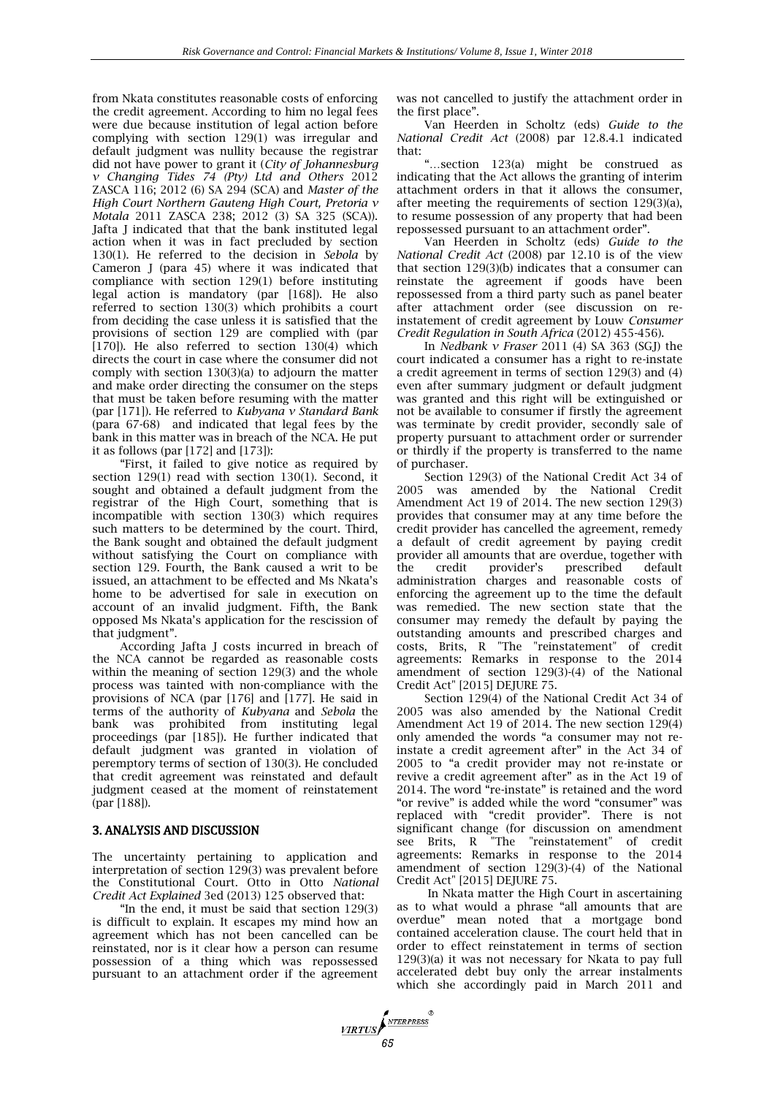from Nkata constitutes reasonable costs of enforcing the credit agreement. According to him no legal fees were due because institution of legal action before complying with section 129(1) was irregular and default judgment was nullity because the registrar did not have power to grant it (*City of Johannesburg v Changing Tides 74 (Pty) Ltd and Others* 2012 ZASCA 116; 2012 (6) SA 294 (SCA) and *Master of the High Court Northern Gauteng High Court, Pretoria v Motala* 2011 ZASCA 238; 2012 (3) SA 325 (SCA)). Jafta J indicated that that the bank instituted legal action when it was in fact precluded by section 130(1). He referred to the decision in *Sebola* by Cameron J (para 45) where it was indicated that compliance with section 129(1) before instituting legal action is mandatory (par [168]). He also referred to section 130(3) which prohibits a court from deciding the case unless it is satisfied that the provisions of section 129 are complied with (par [170]). He also referred to section 130(4) which directs the court in case where the consumer did not comply with section 130(3)(a) to adjourn the matter and make order directing the consumer on the steps that must be taken before resuming with the matter (par [171]). He referred to *Kubyana v Standard Bank* (para 67-68) and indicated that legal fees by the bank in this matter was in breach of the NCA. He put it as follows (par [172] and [173]):

"First, it failed to give notice as required by section 129(1) read with section 130(1). Second, it sought and obtained a default judgment from the registrar of the High Court, something that is incompatible with section 130(3) which requires such matters to be determined by the court. Third, the Bank sought and obtained the default judgment without satisfying the Court on compliance with section 129. Fourth, the Bank caused a writ to be issued, an attachment to be effected and Ms Nkata's home to be advertised for sale in execution on account of an invalid judgment. Fifth, the Bank opposed Ms Nkata's application for the rescission of that judgment".

According Jafta J costs incurred in breach of the NCA cannot be regarded as reasonable costs within the meaning of section 129(3) and the whole process was tainted with non-compliance with the provisions of NCA (par [176] and [177]. He said in terms of the authority of *Kubyana* and *Sebola* the bank was prohibited from instituting legal proceedings (par [185]). He further indicated that default judgment was granted in violation of peremptory terms of section of 130(3). He concluded that credit agreement was reinstated and default judgment ceased at the moment of reinstatement (par [188]).

#### 3. ANALYSIS AND DISCUSSION

The uncertainty pertaining to application and interpretation of section 129(3) was prevalent before the Constitutional Court. Otto in Otto *National Credit Act Explained* 3ed (2013) 125 observed that:

"In the end, it must be said that section 129(3) is difficult to explain. It escapes my mind how an agreement which has not been cancelled can be reinstated, nor is it clear how a person can resume possession of a thing which was repossessed pursuant to an attachment order if the agreement

**FIRTUS** 

was not cancelled to justify the attachment order in the first place".

Van Heerden in Scholtz (eds) *Guide to the National Credit Act* (2008) par 12.8.4.1 indicated that:

"…section 123(a) might be construed as indicating that the Act allows the granting of interim attachment orders in that it allows the consumer, after meeting the requirements of section 129(3)(a), to resume possession of any property that had been repossessed pursuant to an attachment order".

Van Heerden in Scholtz (eds) *Guide to the National Credit Act* (2008) par 12.10 is of the view that section 129(3)(b) indicates that a consumer can reinstate the agreement if goods have been repossessed from a third party such as panel beater after attachment order (see discussion on reinstatement of credit agreement by Louw *Consumer Credit Regulation in South Africa* (2012) 455-456).

In *Nedbank v Fraser* 2011 (4) SA 363 (SGJ) the court indicated a consumer has a right to re-instate a credit agreement in terms of section 129(3) and (4) even after summary judgment or default judgment was granted and this right will be extinguished or not be available to consumer if firstly the agreement was terminate by credit provider, secondly sale of property pursuant to attachment order or surrender or thirdly if the property is transferred to the name of purchaser.

Section 129(3) of the National Credit Act 34 of 2005 was amended by the National Credit Amendment Act 19 of 2014. The new section 129(3) provides that consumer may at any time before the credit provider has cancelled the agreement, remedy a default of credit agreement by paying credit provider all amounts that are overdue, together with<br>the credit provider's prescribed default the credit provider's prescribed default administration charges and reasonable costs of enforcing the agreement up to the time the default was remedied. The new section state that the consumer may remedy the default by paying the outstanding amounts and prescribed charges and costs, Brits, R "The "reinstatement" of credit agreements: Remarks in response to the 2014 amendment of section 129(3)-(4) of the National Credit Act" [2015] DEJURE 75.

Section 129(4) of the National Credit Act 34 of 2005 was also amended by the National Credit Amendment Act 19 of 2014. The new section 129(4) only amended the words "a consumer may not reinstate a credit agreement after" in the Act 34 of 2005 to "a credit provider may not re-instate or revive a credit agreement after" as in the Act 19 of 2014. The word "re-instate" is retained and the word "or revive" is added while the word "consumer" was replaced with "credit provider". There is not significant change (for discussion on amendment see Brits, R "The "reinstatement" of credit agreements: Remarks in response to the 2014 amendment of section 129(3)-(4) of the National Credit Act" [2015] DEJURE 75.

In Nkata matter the High Court in ascertaining as to what would a phrase "all amounts that are overdue" mean noted that a mortgage bond contained acceleration clause. The court held that in order to effect reinstatement in terms of section 129(3)(a) it was not necessary for Nkata to pay full accelerated debt buy only the arrear instalments which she accordingly paid in March 2011 and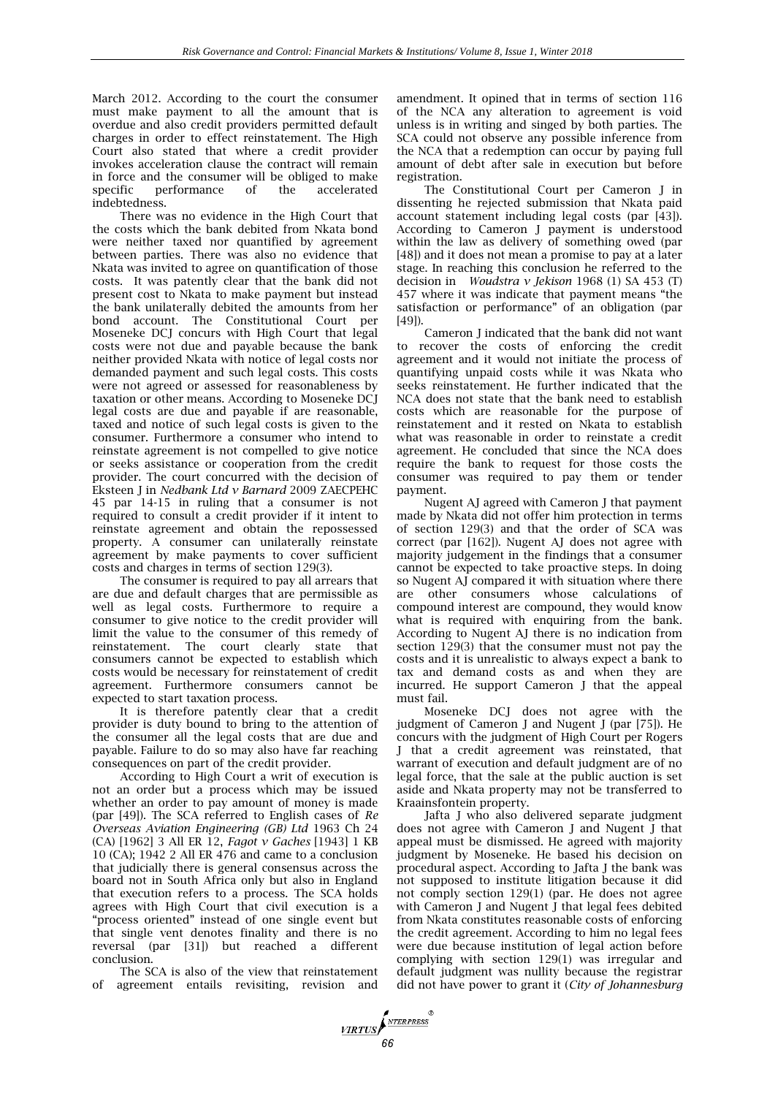March 2012. According to the court the consumer must make payment to all the amount that is overdue and also credit providers permitted default charges in order to effect reinstatement. The High Court also stated that where a credit provider invokes acceleration clause the contract will remain in force and the consumer will be obliged to make<br>specific performance of the accelerated performance indebtedness.

There was no evidence in the High Court that the costs which the bank debited from Nkata bond were neither taxed nor quantified by agreement between parties. There was also no evidence that Nkata was invited to agree on quantification of those costs. It was patently clear that the bank did not present cost to Nkata to make payment but instead the bank unilaterally debited the amounts from her bond account. The Constitutional Court per Moseneke DCJ concurs with High Court that legal costs were not due and payable because the bank neither provided Nkata with notice of legal costs nor demanded payment and such legal costs. This costs were not agreed or assessed for reasonableness by taxation or other means. According to Moseneke DCJ legal costs are due and payable if are reasonable, taxed and notice of such legal costs is given to the consumer. Furthermore a consumer who intend to reinstate agreement is not compelled to give notice or seeks assistance or cooperation from the credit provider. The court concurred with the decision of Eksteen J in *Nedbank Ltd v Barnard* 2009 ZAECPEHC 45 par 14-15 in ruling that a consumer is not required to consult a credit provider if it intent to reinstate agreement and obtain the repossessed property. A consumer can unilaterally reinstate agreement by make payments to cover sufficient costs and charges in terms of section 129(3).

The consumer is required to pay all arrears that are due and default charges that are permissible as well as legal costs. Furthermore to require a consumer to give notice to the credit provider will limit the value to the consumer of this remedy of reinstatement. The court clearly state that consumers cannot be expected to establish which costs would be necessary for reinstatement of credit agreement. Furthermore consumers cannot be expected to start taxation process.

It is therefore patently clear that a credit provider is duty bound to bring to the attention of the consumer all the legal costs that are due and payable. Failure to do so may also have far reaching consequences on part of the credit provider.

According to High Court a writ of execution is not an order but a process which may be issued whether an order to pay amount of money is made (par [49]). The SCA referred to English cases of *Re Overseas Aviation Engineering (GB) Ltd* 1963 Ch 24 (CA) [1962] 3 All ER 12, *Fagot v Gaches* [1943] 1 KB 10 (CA); 1942 2 All ER 476 and came to a conclusion that judicially there is general consensus across the board not in South Africa only but also in England that execution refers to a process. The SCA holds agrees with High Court that civil execution is a "process oriented" instead of one single event but that single vent denotes finality and there is no reversal (par [31]) but reached a different conclusion.

The SCA is also of the view that reinstatement of agreement entails revisiting, revision and

amendment. It opined that in terms of section 116 of the NCA any alteration to agreement is void unless is in writing and singed by both parties. The SCA could not observe any possible inference from the NCA that a redemption can occur by paying full amount of debt after sale in execution but before registration.

The Constitutional Court per Cameron J in dissenting he rejected submission that Nkata paid account statement including legal costs (par [43]). According to Cameron J payment is understood within the law as delivery of something owed (par [48]) and it does not mean a promise to pay at a later stage. In reaching this conclusion he referred to the decision in *Woudstra v Jekison* 1968 (1) SA 453 (T) 457 where it was indicate that payment means "the satisfaction or performance" of an obligation (par [49]).

Cameron J indicated that the bank did not want to recover the costs of enforcing the credit agreement and it would not initiate the process of quantifying unpaid costs while it was Nkata who seeks reinstatement. He further indicated that the NCA does not state that the bank need to establish costs which are reasonable for the purpose of reinstatement and it rested on Nkata to establish what was reasonable in order to reinstate a credit agreement. He concluded that since the NCA does require the bank to request for those costs the consumer was required to pay them or tender payment.

Nugent AJ agreed with Cameron J that payment made by Nkata did not offer him protection in terms of section 129(3) and that the order of SCA was correct (par [162]). Nugent AJ does not agree with majority judgement in the findings that a consumer cannot be expected to take proactive steps. In doing so Nugent AJ compared it with situation where there are other consumers whose calculations of compound interest are compound, they would know what is required with enquiring from the bank. According to Nugent AJ there is no indication from section 129(3) that the consumer must not pay the costs and it is unrealistic to always expect a bank to tax and demand costs as and when they are incurred. He support Cameron J that the appeal must fail.

Moseneke DCJ does not agree with the judgment of Cameron J and Nugent J (par [75]). He concurs with the judgment of High Court per Rogers J that a credit agreement was reinstated, that warrant of execution and default judgment are of no legal force, that the sale at the public auction is set aside and Nkata property may not be transferred to Kraainsfontein property.

Jafta J who also delivered separate judgment does not agree with Cameron J and Nugent J that appeal must be dismissed. He agreed with majority judgment by Moseneke. He based his decision on procedural aspect. According to Jafta J the bank was not supposed to institute litigation because it did not comply section 129(1) (par. He does not agree with Cameron J and Nugent J that legal fees debited from Nkata constitutes reasonable costs of enforcing the credit agreement. According to him no legal fees were due because institution of legal action before complying with section 129(1) was irregular and default judgment was nullity because the registrar did not have power to grant it (*City of Johannesburg* 

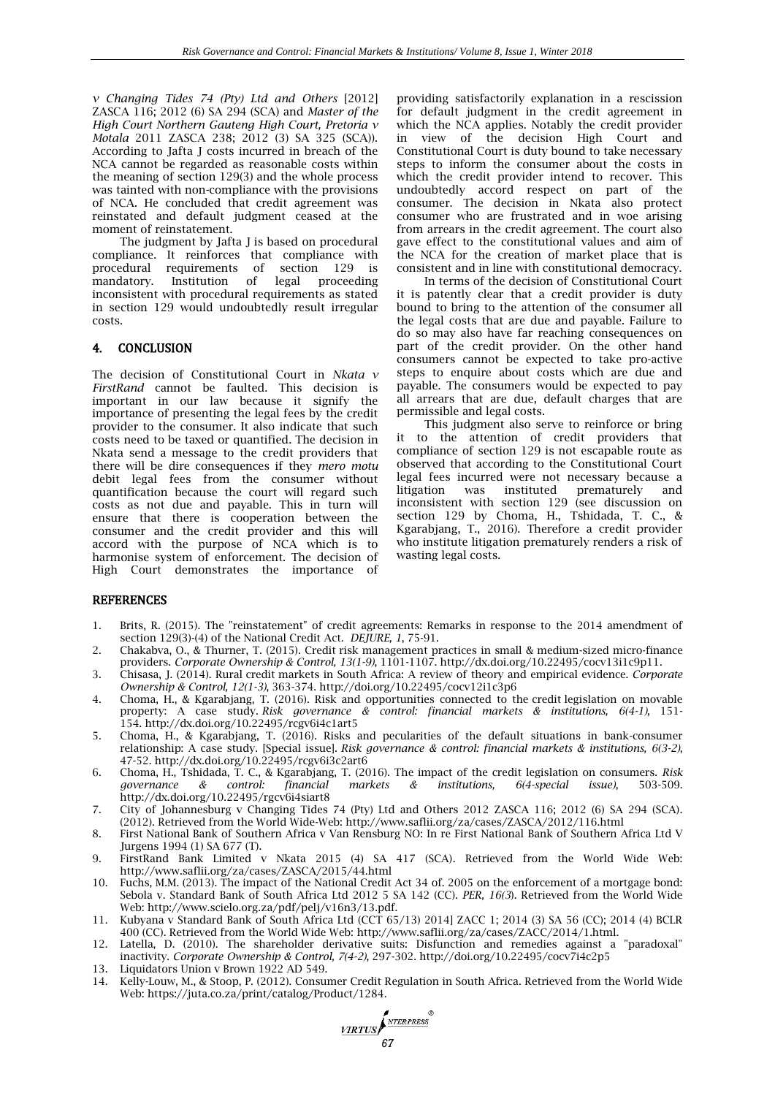*v Changing Tides 74 (Pty) Ltd and Others* [2012] ZASCA 116; 2012 (6) SA 294 (SCA) and *Master of the High Court Northern Gauteng High Court, Pretoria v Motala* 2011 ZASCA 238; 2012 (3) SA 325 (SCA)). According to Jafta J costs incurred in breach of the NCA cannot be regarded as reasonable costs within the meaning of section 129(3) and the whole process was tainted with non-compliance with the provisions of NCA. He concluded that credit agreement was reinstated and default judgment ceased at the moment of reinstatement.

The judgment by Jafta J is based on procedural compliance. It reinforces that compliance with procedural requirements of section 129 is<br>mandatory. Institution of legal proceeding mandatory. Institution of legal proceeding inconsistent with procedural requirements as stated in section 129 would undoubtedly result irregular costs.

#### 4. CONCLUSION

The decision of Constitutional Court in *Nkata v FirstRand* cannot be faulted. This decision is important in our law because it signify the importance of presenting the legal fees by the credit provider to the consumer. It also indicate that such costs need to be taxed or quantified. The decision in Nkata send a message to the credit providers that there will be dire consequences if they *mero motu* debit legal fees from the consumer without quantification because the court will regard such costs as not due and payable. This in turn will ensure that there is cooperation between the consumer and the credit provider and this will accord with the purpose of NCA which is to harmonise system of enforcement. The decision of High Court demonstrates the importance of

providing satisfactorily explanation in a rescission for default judgment in the credit agreement in which the NCA applies. Notably the credit provider in view of the decision High Court and Constitutional Court is duty bound to take necessary steps to inform the consumer about the costs in which the credit provider intend to recover. This undoubtedly accord respect on part of the consumer. The decision in Nkata also protect consumer who are frustrated and in woe arising from arrears in the credit agreement. The court also gave effect to the constitutional values and aim of the NCA for the creation of market place that is consistent and in line with constitutional democracy.

In terms of the decision of Constitutional Court it is patently clear that a credit provider is duty bound to bring to the attention of the consumer all the legal costs that are due and payable. Failure to do so may also have far reaching consequences on part of the credit provider. On the other hand consumers cannot be expected to take pro-active steps to enquire about costs which are due and payable. The consumers would be expected to pay all arrears that are due, default charges that are permissible and legal costs.

This judgment also serve to reinforce or bring to the attention of credit providers that compliance of section 129 is not escapable route as observed that according to the Constitutional Court legal fees incurred were not necessary because a prematurely and inconsistent with section 129 (see discussion on section 129 by Choma, H., Tshidada, T. C., & Kgarabjang, T., 2016). Therefore a credit provider who institute litigation prematurely renders a risk of wasting legal costs.

#### REFERENCES

- 1. Brits, R. (2015). The "reinstatement" of credit agreements: Remarks in response to the 2014 amendment of section 129(3)-(4) of the National Credit Act. *DEJURE, 1*, 75-91.
- 2. Chakabva, O., & Thurner, T. (2015). Credit risk management practices in small & medium-sized micro-finance providers. *Corporate Ownership & Control, 13(1-9)*, 1101-1107. [http://dx.doi.org/10.22495/cocv13i1c9p11.](http://dx.doi.org/10.22495/cocv13i1c9p11)
- 3. Chisasa, J. (2014). Rural credit markets in South Africa: A review of theory and empirical evidence. *Corporate Ownership & Control, 12(1-3)*, 363-374. <http://doi.org/10.22495/cocv12i1c3p6>
- 4. Choma, H., & Kgarabjang, T. (2016). Risk and opportunities connected to the credit legislation on movable property: A case study. *Risk governance & control: financial markets & institutions, 6(4-1)*, 151- 154. <http://dx.doi.org/10.22495/rcgv6i4c1art5>
- 5. Choma, H., & Kgarabjang, T. (2016). Risks and pecularities of the default situations in bank-consumer relationship: A case study. [Special issue]. *Risk governance & control: financial markets & institutions, 6(3-2)*, 47-52. <http://dx.doi.org/10.22495/rcgv6i3c2art6>
- 6. Choma, H., Tshidada, T. C., & Kgarabjang, T. (2016). The impact of the credit legislation on consumers. *Risk governance & control: financial markets & institutions, 6(4-special issue)*, 503-509. <http://dx.doi.org/10.22495/rgcv6i4siart8>
- 7. City of Johannesburg v Changing Tides 74 (Pty) Ltd and Others 2012 ZASCA 116; 2012 (6) SA 294 (SCA). (2012). Retrieved from the World Wide-Web: http://www.saflii.org/za/cases/ZASCA/2012/116.html
- 8. First National Bank of Southern Africa v Van Rensburg NO: In re First National Bank of Southern Africa Ltd V Jurgens 1994 (1) SA 677 (T).
- 9. FirstRand Bank Limited v Nkata 2015 (4) SA 417 (SCA). Retrieved from the World Wide Web: http://www.saflii.org/za/cases/ZASCA/2015/44.html
- 10. Fuchs, M.M. (2013). The impact of the National Credit Act 34 of. 2005 on the enforcement of a mortgage bond: Sebola v. Standard Bank of South Africa Ltd 2012 5 SA 142 (CC). *PER, 16(3*). Retrieved from the World Wide Web: [http://www.scielo.org.za/pdf/pelj/v16n3/13.pdf.](http://www.scielo.org.za/pdf/pelj/v16n3/13.pdf)
- 11. Kubyana v Standard Bank of South Africa Ltd (CCT 65/13) 2014] ZACC 1; 2014 (3) SA 56 (CC); 2014 (4) BCLR 400 (CC). Retrieved from the World Wide Web: http://www.saflii.org/za/cases/ZACC/2014/1.html.
- 12. Latella, D. (2010). The shareholder derivative suits: Disfunction and remedies against a "paradoxal" inactivity. *Corporate Ownership & Control, 7(4-2)*, 297-302. <http://doi.org/10.22495/cocv7i4c2p5>
- 13. Liquidators Union v Brown 1922 AD 549.
- 14. Kelly-Louw, M., & Stoop, P. (2012). Consumer Credit Regulation in South Africa. Retrieved from the World Wide Web: [https://juta.co.za/print/catalog/Product/1284.](https://juta.co.za/print/catalog/Product/1284)

*MRTUS SNTERPRESS*